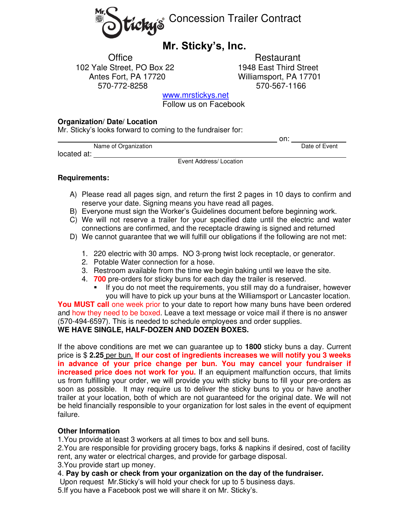

# **Mr. Sticky's, Inc.**

102 Yale Street, PO Box 22 1948 East Third Street Antes Fort, PA 17720 Williamsport, PA 17701 570-772-8258 570-567-1166

Office Restaurant

[www.mrstickys.net](http://www.mrstickys.net/)

Follow us on Facebook

## **Organization/ Date/ Location**

Mr. Sticky's looks forward to coming to the fundraiser for:

|                      | on: |               |
|----------------------|-----|---------------|
| Name of Organization |     | Date of Event |
| located at:          |     |               |
| $-$                  | .   |               |

Event Address/ Location

## **Requirements:**

- A) Please read all pages sign, and return the first 2 pages in 10 days to confirm and reserve your date. Signing means you have read all pages.
- B) Everyone must sign the Worker's Guidelines document before beginning work.
- C) We will not reserve a trailer for your specified date until the electric and water connections are confirmed, and the receptacle drawing is signed and returned
- D) We cannot guarantee that we will fulfill our obligations if the following are not met:
	- 1. 220 electric with 30 amps. NO 3-prong twist lock receptacle, or generator.
	- 2. Potable Water connection for a hose.
	- 3. Restroom available from the time we begin baking until we leave the site.
	- 4. **700** pre-orders for sticky buns for each day the trailer is reserved.
		- **.** If you do not meet the requirements, you still may do a fundraiser, however you will have to pick up your buns at the Williamsport or Lancaster location.

**You MUST call** one week prior to your date to report how many buns have been ordered and how they need to be boxed. Leave a text message or voice mail if there is no answer (570-494-6597). This is needed to schedule employees and order supplies.

# **WE HAVE SINGLE, HALF-DOZEN AND DOZEN BOXES.**

If the above conditions are met we can guarantee up to **1800** sticky buns a day. Current price is \$ **2.25** per bun. **If our cost of ingredients increases we will notify you 3 weeks in advance of your price change per bun. You may cancel your fundraiser if increased price does not work for you.** If an equipment malfunction occurs, that limits us from fulfilling your order, we will provide you with sticky buns to fill your pre-orders as soon as possible. It may require us to deliver the sticky buns to you or have another trailer at your location, both of which are not guaranteed for the original date. We will not be held financially responsible to your organization for lost sales in the event of equipment failure.

# **Other Information**

1.You provide at least 3 workers at all times to box and sell buns.

2.You are responsible for providing grocery bags, forks & napkins if desired, cost of facility rent, any water or electrical charges, and provide for garbage disposal.

- 3.You provide start up money.
- 4. **Pay by cash or check from your organization on the day of the fundraiser.**
- Upon request Mr.Sticky's will hold your check for up to 5 business days.
- 5.If you have a Facebook post we will share it on Mr. Sticky's.